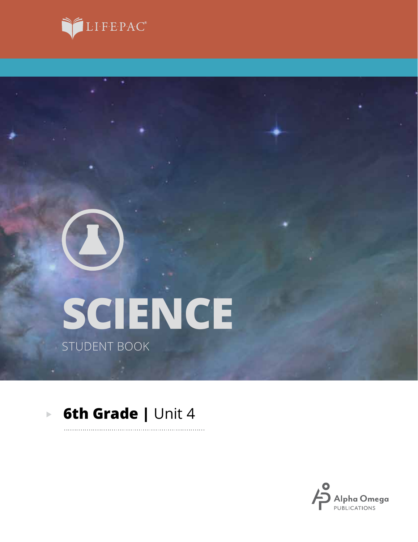



# **SCIENCE** STUDENT BOOK

#### **6th Grade | Unit 4**  $\overline{\mathbb{R}}$

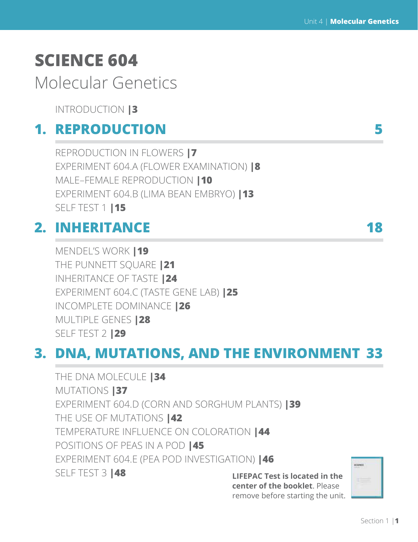# **SCIENCE 604**

# Molecular Genetics

INTRODUCTION **|3**

## **1. REPRODUCTION 5**

REPRODUCTION IN FLOWERS **|7** EXPERIMENT 604.A (FLOWER EXAMINATION) **|8** MALE–FEMALE REPRODUCTION **|10** EXPERIMENT 604.B (LIMA BEAN EMBRYO) **|13** SELF TEST 1 **|15**

# **2. INHERITANCE 18**

MENDEL'S WORK **|19**  THE PUNNETT SQUARE **|21** INHERITANCE OF TASTE **|24** EXPERIMENT 604.C (TASTE GENE LAB) **|25** INCOMPLETE DOMINANCE **|26** MULTIPLE GENES **|28** SELF TEST 2 **|29**

# **3. DNA, MUTATIONS, AND THE ENVIRONMENT 33**

**LIFEPAC Test is located in the center of the booklet**. Please THE DNA MOLECULE **|34** MUTATIONS **|37** EXPERIMENT 604.D (CORN AND SORGHUM PLANTS) **|39** THE USE OF MUTATIONS **|42** TEMPERATURE INFLUENCE ON COLORATION **|44** POSITIONS OF PEAS IN A POD **|45** EXPERIMENT 604.E (PEA POD INVESTIGATION) **|46** SELF TEST 3 **|48** 

icianci

remove before starting the unit.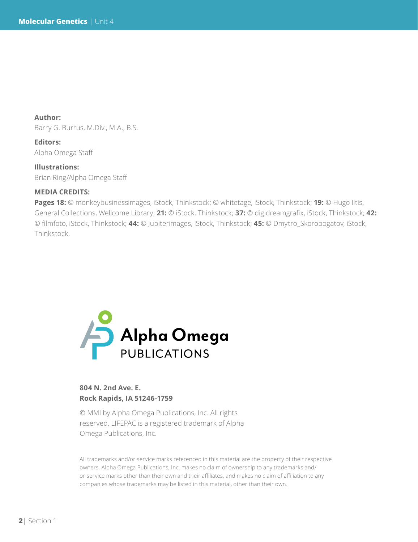**Author:**  Barry G. Burrus, M.Div., M.A., B.S.

**Editors:** Alpha Omega Staff

**Illustrations:** Brian Ring/Alpha Omega Staff

#### **MEDIA CREDITS:**

**Pages 18:** © monkeybusinessimages, iStock, Thinkstock; © whitetage, iStock, Thinkstock; **19:** © Hugo Iltis, General Collections, Wellcome Library; **21:** © iStock, Thinkstock; **37:** © digidreamgrafix, iStock, Thinkstock; **42:**  © filmfoto, iStock, Thinkstock; **44:** © Jupiterimages, iStock, Thinkstock; **45:** © Dmytro\_Skorobogatov, iStock, Thinkstock.



### **804 N. 2nd Ave. E. Rock Rapids, IA 51246-1759**

© MMI by Alpha Omega Publications, Inc. All rights reserved. LIFEPAC is a registered trademark of Alpha Omega Publications, Inc.

All trademarks and/or service marks referenced in this material are the property of their respective owners. Alpha Omega Publications, Inc. makes no claim of ownership to any trademarks and/ or service marks other than their own and their affiliates, and makes no claim of affiliation to any companies whose trademarks may be listed in this material, other than their own.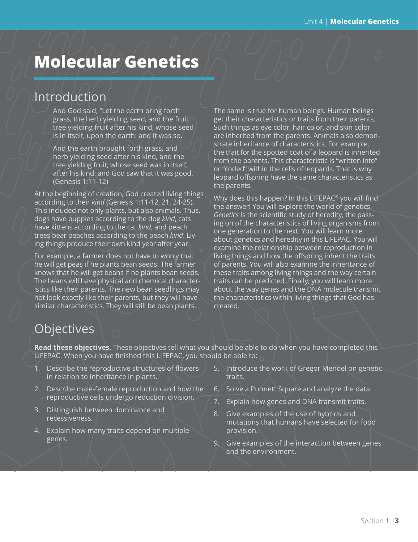# **Molecular Genetics**

# Introduction

And God said, "Let the earth bring forth grass, the herb yielding seed, and the fruit tree yielding fruit after his kind, whose seed is in itself, upon the earth: and it was so.

And the earth brought forth grass, and herb yielding seed after his kind, and the tree yielding fruit, whose seed was in itself, after his kind: and God saw that it was good. (Genesis 1:11-12)

At the beginning of creation, God created living things according to their *kind* (Genesis 1:11-12, 21, 24-25). This included not only plants, but also animals. Thus, dogs have puppies according to the dog *kind*, cats have kittens according to the cat *kind*, and peach trees bear peaches according to the peach *kind*. Living things produce their own kind year after year.

For example, a farmer does not have to worry that he will get peas if he plants bean seeds. The farmer knows that he will get beans if he plants bean seeds. The beans will have physical and chemical characteristics like their parents. The new bean seedlings may not look exactly like their parents, but they will have similar characteristics. They will still be bean plants.

The same is true for human beings. Human beings get their characteristics or traits from their parents. Such things as eye color, hair color, and skin color are inherited from the parents. Animals also demonstrate inheritance of characteristics. For example, the trait for the spotted coat of a leopard is inherited from the parents. This characteristic is "written into" or "coded" within the cells of leopards. That is why leopard offspring have the same characteristics as the parents.

Why does this happen? In this LIFEPAC® you will find the answer! You will explore the world of genetics. *Genetics* is the scientific study of heredity, the passing on of the characteristics of living organisms from one generation to the next. You will learn more about genetics and heredity in this LIFEPAC. You will examine the relationship between reproduction in living things and how the offspring inherit the traits of parents. You will also examine the inheritance of these traits among living things and the way certain traits can be predicted. Finally, you will learn more about the way genes and the DNA molecule transmit the characteristics within living things that God has created.

## Objectives

**Read these objectives.** These objectives tell what you should be able to do when you have completed this LIFEPAC. When you have finished this LIFEPAC, you should be able to:

- 1. Describe the reproductive structures of flowers in relation to inheritance in plants.
- 2. Describe male-female reproduction and how the reproductive cells undergo reduction division.
- 3. Distinguish between dominance and recessiveness.
- 4. Explain how many traits depend on multiple genes.
- 5. Introduce the work of Gregor Mendel on genetic traits.
- 6. Solve a Punnett Square and analyze the data.
- 7. Explain how genes and DNA transmit traits.
- 8. Give examples of the use of hybrids and mutations that humans have selected for food provision.
- 9. Give examples of the interaction between genes and the environment.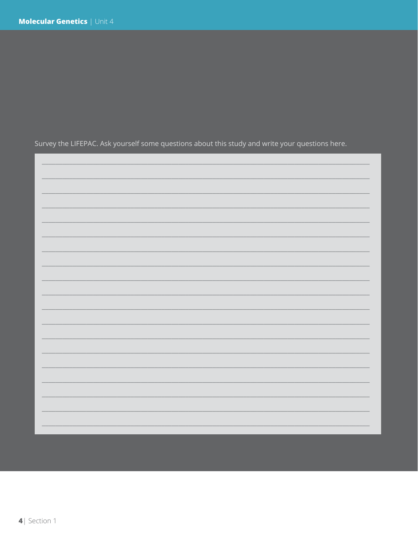Survey the LIFEPAC. Ask yourself some questions about this study and write your questions here.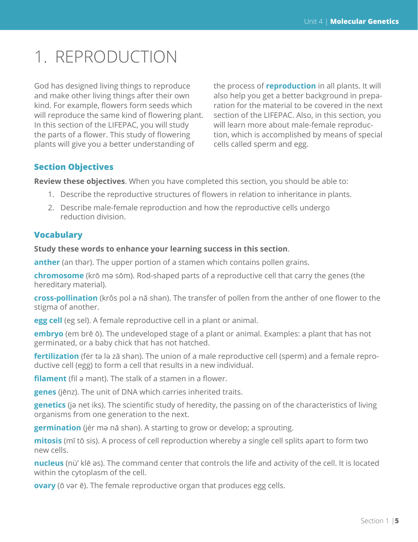# 1. REPRODUCTION

God has designed living things to reproduce and make other living things after their own kind. For example, flowers form seeds which will reproduce the same kind of flowering plant. In this section of the LIFEPAC, you will study the parts of a flower. This study of flowering plants will give you a better understanding of

the process of **reproduction** in all plants. It will also help you get a better background in preparation for the material to be covered in the next section of the LIFEPAC. Also, in this section, you will learn more about male-female reproduction, which is accomplished by means of special cells called sperm and egg.

### **Section Objectives**

**Review these objectives**. When you have completed this section, you should be able to:

- 1. Describe the reproductive structures of flowers in relation to inheritance in plants.
- 2. Describe male-female reproduction and how the reproductive cells undergo reduction division.

### **Vocabulary**

#### **Study these words to enhance your learning success in this section**.

**anther** (an thәr). The upper portion of a stamen which contains pollen grains.

**chromosome** (krō mә sōm). Rod-shaped parts of a reproductive cell that carry the genes (the hereditary material).

**cross-pollination** (krôs pol ә nā shәn). The transfer of pollen from the anther of one flower to the stigma of another.

**egg cell** (eg sel). A female reproductive cell in a plant or animal.

**embryo** (em brē ō). The undeveloped stage of a plant or animal. Examples: a plant that has not germinated, or a baby chick that has not hatched.

**fertilization** (fėr tә lә zā shәn). The union of a male reproductive cell (sperm) and a female reproductive cell (egg) to form a cell that results in a new individual.

**filament** (fil ә mәnt). The stalk of a stamen in a flower.

**genes** (jēnz). The unit of DNA which carries inherited traits.

**genetics** (jә net iks). The scientific study of heredity, the passing on of the characteristics of living organisms from one generation to the next.

**germination** (jėr mә nā shәn). A starting to grow or develop; a sprouting.

**mitosis** (mī tō sis). A process of cell reproduction whereby a single cell splits apart to form two new cells.

**nucleus** (nü' klē әs). The command center that controls the life and activity of the cell. It is located within the cytoplasm of the cell.

**ovary** (ō vәr ē). The female reproductive organ that produces egg cells.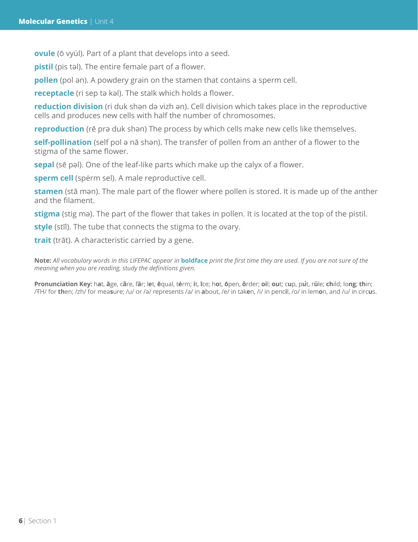**ovule** (ō vyül). Part of a plant that develops into a seed.

**pistil** (pis tәl). The entire female part of a flower.

**pollen** (pol әn). A powdery grain on the stamen that contains a sperm cell.

**receptacle** (ri sep tә kәl). The stalk which holds a flower.

**reduction division** (ri duk shәn dә vizh әn). Cell division which takes place in the reproductive cells and produces new cells with half the number of chromosomes.

**reproduction** (rē prә duk shәn) The process by which cells make new cells like themselves.

**self-pollination** (self pol ә nā shәn). The transfer of pollen from an anther of a flower to the stigma of the same flower.

**sepal** (sē pәl). One of the leaf-like parts which make up the calyx of a flower.

**sperm cell** (spėrm sel). A male reproductive cell.

**stamen** (stā mәn). The male part of the flower where pollen is stored. It is made up of the anther and the filament.

**stigma** (stig mә). The part of the flower that takes in pollen. It is located at the top of the pistil.

**style** (stīl). The tube that connects the stigma to the ovary.

**trait** (trāt). A characteristic carried by a gene.

**Note:** *All vocabulary words in this LIFEPAC appear in* **boldface** *print the first time they are used. If you are not sure of the meaning when you are reading, study the definitions given.*

Pronunciation Key: hat, āge, cãre, fär; let, ēqual, tėrm; it, īce; hot, ōpen, ôrder; oil; out; cup, put, rüle; child; long; thin; /ŦH/ for **th**en; /zh/ for mea**s**ure; /u/ or /ә/ represents /a/ in **a**bout, /e/ in tak**e**n, /i/ in penc**i**l, /o/ in lem**o**n, and /u/ in circ**u**s.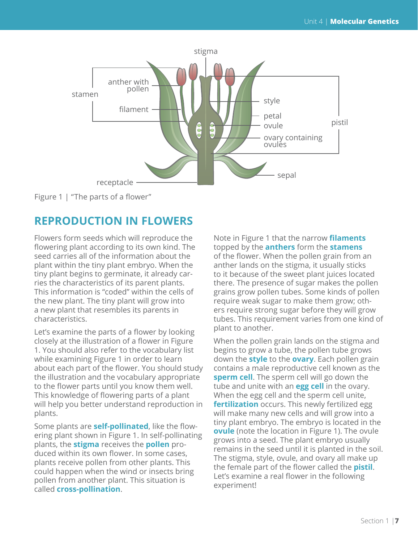

Figure 1 | "The parts of a flower"

### **REPRODUCTION IN FLOWERS**

Flowers form seeds which will reproduce the flowering plant according to its own kind. The seed carries all of the information about the plant within the tiny plant embryo. When the tiny plant begins to germinate, it already carries the characteristics of its parent plants. This information is "coded" within the cells of the new plant. The tiny plant will grow into a new plant that resembles its parents in characteristics.

Let's examine the parts of a flower by looking closely at the illustration of a flower in Figure 1. You should also refer to the vocabulary list while examining Figure 1 in order to learn about each part of the flower. You should study the illustration and the vocabulary appropriate to the flower parts until you know them well. This knowledge of flowering parts of a plant will help you better understand reproduction in plants.

Some plants are **self-pollinated**, like the flowering plant shown in Figure 1. In self-pollinating plants, the **stigma** receives the **pollen** produced within its own flower. In some cases, plants receive pollen from other plants. This could happen when the wind or insects bring pollen from another plant. This situation is called **cross-pollination**.

Note in Figure 1 that the narrow **filaments**  topped by the **anthers** form the **stamens** of the flower. When the pollen grain from an anther lands on the stigma, it usually sticks to it because of the sweet plant juices located there. The presence of sugar makes the pollen grains grow pollen tubes. Some kinds of pollen require weak sugar to make them grow; others require strong sugar before they will grow tubes. This requirement varies from one kind of plant to another.

When the pollen grain lands on the stigma and begins to grow a tube, the pollen tube grows down the **style** to the **ovary**. Each pollen grain contains a male reproductive cell known as the **sperm cell**. The sperm cell will go down the tube and unite with an **egg cell** in the ovary. When the egg cell and the sperm cell unite, **fertilization** occurs. This newly fertilized egg will make many new cells and will grow into a tiny plant embryo. The embryo is located in the **ovule** (note the location in Figure 1). The ovule grows into a seed. The plant embryo usually remains in the seed until it is planted in the soil. The stigma, style, ovule, and ovary all make up the female part of the flower called the **pistil**. Let's examine a real flower in the following experiment!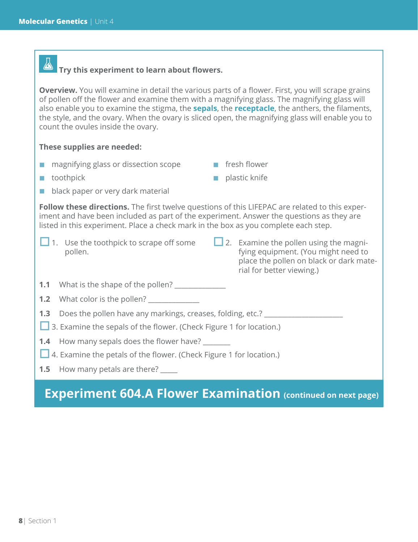#### 公  **Try this experiment to learn about flowers.**

**Overview.** You will examine in detail the various parts of a flower. First, you will scrape grains of pollen off the flower and examine them with a magnifying glass. The magnifying glass will also enable you to examine the stigma, the **sepals**, the **receptacle**, the anthers, the filaments, the style, and the ovary. When the ovary is sliced open, the magnifying glass will enable you to count the ovules inside the ovary.

#### **These supplies are needed:**

- **n** magnifying glass or dissection scope
- **fical flower**

 $\blacksquare$  toothpick

- $\blacksquare$  plastic knife
- **black paper or very dark material**

**Follow these directions.** The first twelve questions of this LIFEPAC are related to this experiment and have been included as part of the experiment. Answer the questions as they are listed in this experiment. Place a check mark in the box as you complete each step.

- $\Box$  1. Use the toothpick to scrape off some pollen.
- $\Box$  2. Examine the pollen using the magnifying equipment. (You might need to place the pollen on black or dark material for better viewing.)
- **1.1** What is the shape of the pollen? \_\_\_\_\_\_\_\_\_\_\_\_\_\_\_
- **1.2** What color is the pollen?

**1.3** Does the pollen have any markings, creases, folding, etc.?

- **1** 3. Examine the sepals of the flower. (Check Figure 1 for location.)
- **1.4** How many sepals does the flower have?
- 4. Examine the petals of the flower. (Check Figure 1 for location.)
- **1.5** How many petals are there?

### **Experiment 604.A Flower Examination (continued on next page)**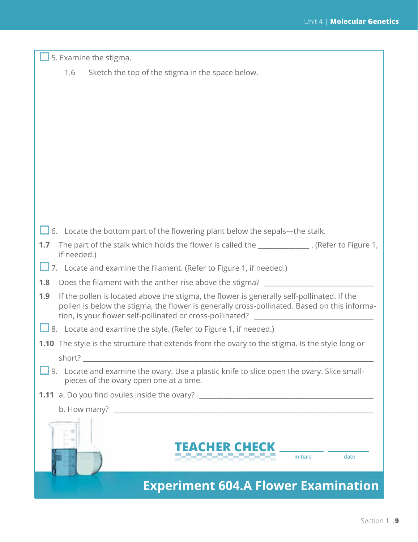| 5. Examine the stigma.                                                                                                                                                                                                                                         |
|----------------------------------------------------------------------------------------------------------------------------------------------------------------------------------------------------------------------------------------------------------------|
| Sketch the top of the stigma in the space below.<br>1.6                                                                                                                                                                                                        |
|                                                                                                                                                                                                                                                                |
|                                                                                                                                                                                                                                                                |
|                                                                                                                                                                                                                                                                |
|                                                                                                                                                                                                                                                                |
|                                                                                                                                                                                                                                                                |
|                                                                                                                                                                                                                                                                |
|                                                                                                                                                                                                                                                                |
|                                                                                                                                                                                                                                                                |
|                                                                                                                                                                                                                                                                |
|                                                                                                                                                                                                                                                                |
| $\Box$ 6. Locate the bottom part of the flowering plant below the sepals—the stalk.                                                                                                                                                                            |
| The part of the stalk which holds the flower is called the _____________. (Refer to Figure 1,<br>1.7<br>if needed.)                                                                                                                                            |
| 7. Locate and examine the filament. (Refer to Figure 1, if needed.)                                                                                                                                                                                            |
| Does the filament with the anther rise above the stigma?<br>1.8                                                                                                                                                                                                |
| If the pollen is located above the stigma, the flower is generally self-pollinated. If the<br>1.9<br>pollen is below the stigma, the flower is generally cross-pollinated. Based on this informa-<br>tion, is your flower self-pollinated or cross-pollinated? |
| $\Box$ 8. Locate and examine the style. (Refer to Figure 1, if needed.)                                                                                                                                                                                        |
| <b>1.10</b> The style is the structure that extends from the ovary to the stigma. Is the style long or                                                                                                                                                         |
| short?                                                                                                                                                                                                                                                         |
| 9. Locate and examine the ovary. Use a plastic knife to slice open the ovary. Slice small-<br>pieces of the ovary open one at a time.                                                                                                                          |
| <b>1.11</b> a. Do you find ovules inside the ovary? __________________________________                                                                                                                                                                         |
| b. How many?<br><u> 2000 - Jan Bernard Bernard, mars and de la propinsion de la propinsion de la propinsion de la propinsion de l</u>                                                                                                                          |
|                                                                                                                                                                                                                                                                |
| ER GHECK<br><b>initials</b><br>date                                                                                                                                                                                                                            |
| <b>Experiment 604.A Flower Examination</b>                                                                                                                                                                                                                     |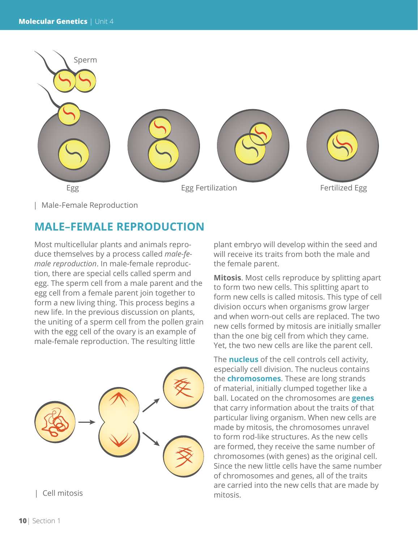

| Male-Female Reproduction

### **MALE–FEMALE REPRODUCTION**

Most multicellular plants and animals reproduce themselves by a process called *male-female reproduction*. In male-female reproduction, there are special cells called sperm and egg. The sperm cell from a male parent and the egg cell from a female parent join together to form a new living thing. This process begins a new life. In the previous discussion on plants, the uniting of a sperm cell from the pollen grain with the egg cell of the ovary is an example of male-female reproduction. The resulting little



| Cell mitosis mitosis.

plant embryo will develop within the seed and will receive its traits from both the male and the female parent.

**Mitosis**. Most cells reproduce by splitting apart to form two new cells. This splitting apart to form new cells is called mitosis. This type of cell division occurs when organisms grow larger and when worn-out cells are replaced. The two new cells formed by mitosis are initially smaller than the one big cell from which they came. Yet, the two new cells are like the parent cell.

The **nucleus** of the cell controls cell activity, especially cell division. The nucleus contains the **chromosomes**. These are long strands of material, initially clumped together like a ball. Located on the chromosomes are **genes**  that carry information about the traits of that particular living organism. When new cells are made by mitosis, the chromosomes unravel to form rod-like structures. As the new cells are formed, they receive the same number of chromosomes (with genes) as the original cell. Since the new little cells have the same number of chromosomes and genes, all of the traits are carried into the new cells that are made by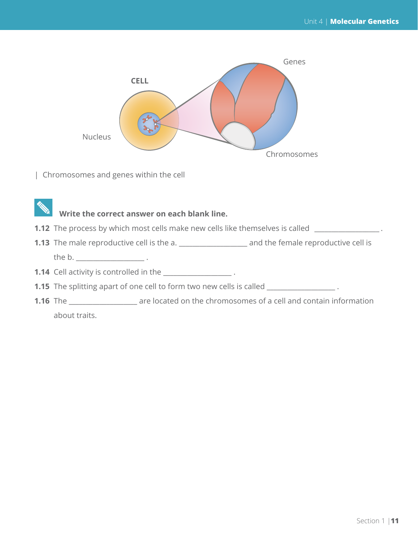

| Chromosomes and genes within the cell

### **Write the correct answer on each blank line.**

- **1.12** The process by which most cells make new cells like themselves is called \_\_\_\_\_\_\_\_\_\_\_\_\_\_\_\_\_.
- **1.13** The male reproductive cell is the a. \_\_\_\_\_\_\_\_\_\_\_\_\_\_\_\_\_\_\_\_ and the female reproductive cell is

the b.

- **1.14** Cell activity is controlled in the \_\_\_\_\_\_\_\_\_\_\_\_\_\_\_\_\_\_\_\_\_.
- **1.15** The splitting apart of one cell to form two new cells is called \_\_\_\_\_\_\_\_\_\_\_\_\_\_\_\_\_\_.
- **1.16** The \_\_\_\_\_\_\_\_\_\_\_\_\_\_\_\_\_\_\_\_ are located on the chromosomes of a cell and contain information about traits.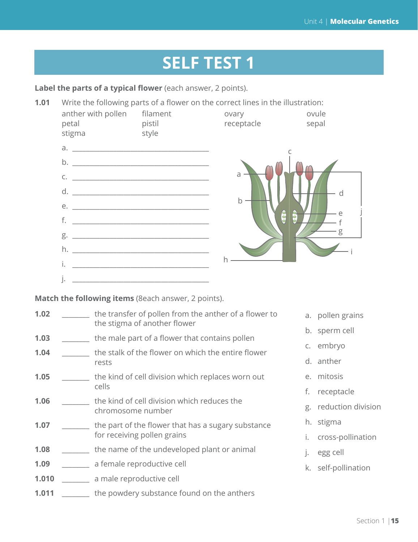# **SELF TEST 1**

Label the parts of a typical flower (each answer, 2 points).

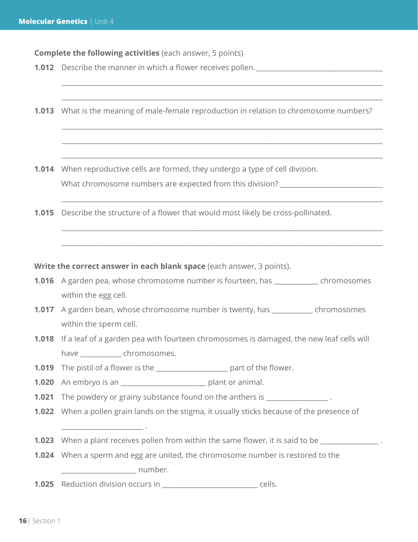**Complete the following activities** (each answer, 5 points)

- **1.012** Describe the manner in which a flower receives pollen.
- **1.013** What is the meaning of male-female reproduction in relation to chromosome numbers?

\_\_\_\_\_\_\_\_\_\_\_\_\_\_\_\_\_\_\_\_\_\_\_\_\_\_\_\_\_\_\_\_\_\_\_\_\_\_\_\_\_\_\_\_\_\_\_\_\_\_\_\_\_\_\_\_\_\_\_\_\_\_\_\_\_\_\_\_\_\_\_\_\_\_\_\_\_\_\_\_\_\_\_\_\_\_\_\_\_\_\_\_\_\_

\_\_\_\_\_\_\_\_\_\_\_\_\_\_\_\_\_\_\_\_\_\_\_\_\_\_\_\_\_\_\_\_\_\_\_\_\_\_\_\_\_\_\_\_\_\_\_\_\_\_\_\_\_\_\_\_\_\_\_\_\_\_\_\_\_\_\_\_\_\_\_\_\_\_\_\_\_\_\_\_\_\_\_\_\_\_\_\_\_\_\_\_\_\_

\_\_\_\_\_\_\_\_\_\_\_\_\_\_\_\_\_\_\_\_\_\_\_\_\_\_\_\_\_\_\_\_\_\_\_\_\_\_\_\_\_\_\_\_\_\_\_\_\_\_\_\_\_\_\_\_\_\_\_\_\_\_\_\_\_\_\_\_\_\_\_\_\_\_\_\_\_\_\_\_\_\_\_\_\_\_\_\_\_\_\_\_\_\_

\_\_\_\_\_\_\_\_\_\_\_\_\_\_\_\_\_\_\_\_\_\_\_\_\_\_\_\_\_\_\_\_\_\_\_\_\_\_\_\_\_\_\_\_\_\_\_\_\_\_\_\_\_\_\_\_\_\_\_\_\_\_\_\_\_\_\_\_\_\_\_\_\_\_\_\_\_\_\_\_\_\_\_\_\_\_\_\_\_\_\_\_\_\_

\_\_\_\_\_\_\_\_\_\_\_\_\_\_\_\_\_\_\_\_\_\_\_\_\_\_\_\_\_\_\_\_\_\_\_\_\_\_\_\_\_\_\_\_\_\_\_\_\_\_\_\_\_\_\_\_\_\_\_\_\_\_\_\_\_\_\_\_\_\_\_\_\_\_\_\_\_\_\_\_\_\_\_\_\_\_\_\_\_\_\_\_\_\_

\_\_\_\_\_\_\_\_\_\_\_\_\_\_\_\_\_\_\_\_\_\_\_\_\_\_\_\_\_\_\_\_\_\_\_\_\_\_\_\_\_\_\_\_\_\_\_\_\_\_\_\_\_\_\_\_\_\_\_\_\_\_\_\_\_\_\_\_\_\_\_\_\_\_\_\_\_\_\_\_\_\_\_\_\_\_\_\_\_\_\_\_\_\_

\_\_\_\_\_\_\_\_\_\_\_\_\_\_\_\_\_\_\_\_\_\_\_\_\_\_\_\_\_\_\_\_\_\_\_\_\_\_\_\_\_\_\_\_\_\_\_\_\_\_\_\_\_\_\_\_\_\_\_\_\_\_\_\_\_\_\_\_\_\_\_\_\_\_\_\_\_\_\_\_\_\_\_\_\_\_\_\_\_\_\_\_\_\_

\_\_\_\_\_\_\_\_\_\_\_\_\_\_\_\_\_\_\_\_\_\_\_\_\_\_\_\_\_\_\_\_\_\_\_\_\_\_\_\_\_\_\_\_\_\_\_\_\_\_\_\_\_\_\_\_\_\_\_\_\_\_\_\_\_\_\_\_\_\_\_\_\_\_\_\_\_\_\_\_\_\_\_\_\_\_\_\_\_\_\_\_\_\_

**1.014** When reproductive cells are formed, they undergo a type of cell division. What chromosome numbers are expected from this division? \_\_\_\_\_\_\_\_\_\_\_\_\_\_\_\_\_\_\_\_\_\_\_

**1.015** Describe the structure of a flower that would most likely be cross-pollinated.

**Write the correct answer in each blank space** (each answer, 3 points).

- **1.016** A garden pea, whose chromosome number is fourteen, has \_\_\_\_\_\_\_\_\_\_\_\_\_ chromosomes within the egg cell.
- **1.017** A garden bean, whose chromosome number is twenty, has \_\_\_\_\_\_\_\_\_\_\_\_ chromosomes within the sperm cell.
- **1.018** If a leaf of a garden pea with fourteen chromosomes is damaged, the new leaf cells will have chromosomes.
- **1.019** The pistil of a flower is the \_\_\_\_\_\_\_\_\_\_\_\_\_\_\_\_\_\_\_\_\_ part of the flower.

**1.020** An embryo is an **Example 20** plant or animal.

\_\_\_\_\_\_\_\_\_\_\_\_\_\_\_\_\_\_\_\_\_\_\_\_ .

- **1.021** The powdery or grainy substance found on the anthers is  $\cdot$
- **1.022** When a pollen grain lands on the stigma, it usually sticks because of the presence of
- **1.023** When a plant receives pollen from within the same flower, it is said to be
- **1.024** When a sperm and egg are united, the chromosome number is restored to the example in the number.
- **1.025** Reduction division occurs in \_\_\_\_\_\_\_\_\_\_\_\_\_\_\_\_\_\_\_\_\_\_\_\_\_\_\_\_ cells.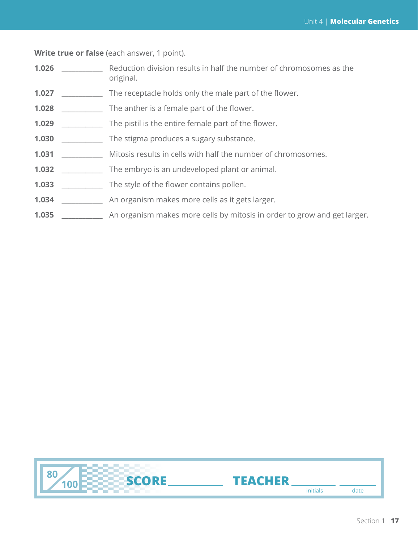**Write true or false** (each answer, 1 point).

- **1.026 example 2.1 Reduction division results in half the number of chromosomes as the** original.
- **1.027** \_\_\_\_\_\_\_\_\_\_\_\_ The receptacle holds only the male part of the flower.
- **1.028** The anther is a female part of the flower.
- **1.029** The pistil is the entire female part of the flower.
- **1.030** \_\_\_\_\_\_\_\_\_\_\_\_ The stigma produces a sugary substance.
- **1.031 Mitosis results in cells with half the number of chromosomes.**
- **1.032** \_\_\_\_\_\_\_\_\_\_\_\_ The embryo is an undeveloped plant or animal.
- **1.033** \_\_\_\_\_\_\_\_\_\_\_\_ The style of the flower contains pollen.
- **1.034** \_\_\_\_\_\_\_\_\_\_\_\_ An organism makes more cells as it gets larger.
- **1.035** \_\_\_\_\_\_\_\_\_\_\_\_ An organism makes more cells by mitosis in order to grow and get larger.